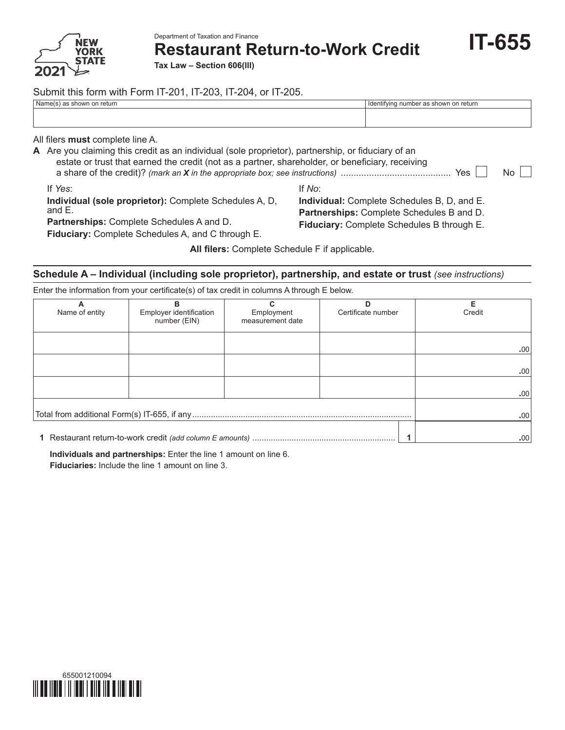

Department of Taxation and Finance

**Restaurant Return-to-Work Credit**

**IT-655**

**Tax Law – Section 606(lll)**

# Submit this form with Form IT-201, IT-203, IT-204, or IT-205.

| Name(s) as shown on return                                                                                                                                                                                                                        | Identifying number as shown on return                                                                                                            |
|---------------------------------------------------------------------------------------------------------------------------------------------------------------------------------------------------------------------------------------------------|--------------------------------------------------------------------------------------------------------------------------------------------------|
| All filers <b>must</b> complete line A.<br>A Are you claiming this credit as an individual (sole proprietor), partnership, or fiduciary of an<br>estate or trust that earned the credit (not as a partner, shareholder, or beneficiary, receiving | Yes<br>No.                                                                                                                                       |
| If Yes:<br>Individual (sole proprietor): Complete Schedules A, D,<br>and $E$ .<br><b>Partnerships:</b> Complete Schedules A and D.<br>Fiduciary: Complete Schedules A, and C through E.                                                           | If No:<br>Individual: Complete Schedules B, D, and E.<br>Partnerships: Complete Schedules B and D.<br>Fiduciary: Complete Schedules B through E. |

**All filers:** Complete Schedule F if applicable.

# **Schedule A – Individual (including sole proprietor), partnership, and estate or trust (see instructions)**

Enter the information from your certificate(s) of tax credit in columns A through E below.

| А              | в                       |                  |                    | Е      |
|----------------|-------------------------|------------------|--------------------|--------|
| Name of entity | Employer identification | Employment       | Certificate number | Credit |
|                | number (EIN)            | measurement date |                    |        |
|                |                         |                  |                    |        |
|                |                         |                  |                    |        |
|                |                         |                  |                    | .00    |
|                |                         |                  |                    |        |
|                |                         |                  |                    | .00    |
|                |                         |                  |                    |        |
|                |                         |                  |                    | .00.   |
|                |                         |                  |                    |        |
|                | .00.                    |                  |                    |        |
|                |                         |                  |                    |        |
|                |                         |                  |                    |        |
|                | .00.                    |                  |                    |        |

**Individuals and partnerships:** Enter the line 1 amount on line 6. **Fiduciaries:** Include the line 1 amount on line 3.

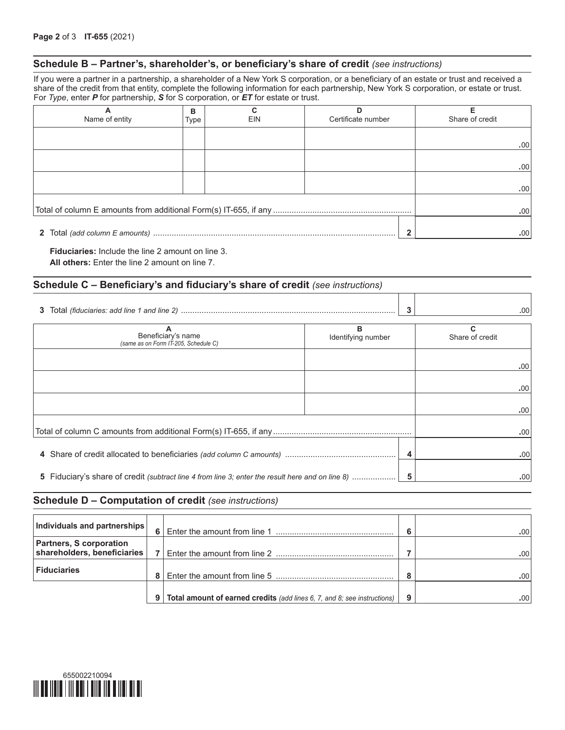## **Schedule B – Partner's, shareholder's, or beneficiary's share of credit** *(see instructions)*

If you were a partner in a partnership, a shareholder of a New York S corporation, or a beneficiary of an estate or trust and received a share of the credit from that entity, complete the following information for each partnership, New York S corporation, or estate or trust. For *Type*, enter *P* for partnership, *S* for S corporation, or *ET* for estate or trust.

| A<br>Name of entity | в<br>Type | EIN | Certificate number | Share of credit |
|---------------------|-----------|-----|--------------------|-----------------|
|                     |           |     |                    | .00             |
|                     |           |     |                    | .00             |
|                     |           |     |                    | .00             |
|                     |           |     |                    | .00             |
|                     |           |     |                    | .00             |

**Fiduciaries:** Include the line 2 amount on line 3. **All others:** Enter the line 2 amount on line 7.

#### **Schedule C – Beneficiary's and fiduciary's share of credit** *(see instructions)*

|                                                                                                       |                         | 3 | .00 <sub>1</sub>     |
|-------------------------------------------------------------------------------------------------------|-------------------------|---|----------------------|
| Beneficiary's name<br>(same as on Form IT-205, Schedule C)                                            | в<br>Identifying number |   | C<br>Share of credit |
|                                                                                                       |                         |   | .00                  |
|                                                                                                       |                         |   | .00                  |
|                                                                                                       |                         |   | .00                  |
|                                                                                                       |                         |   | .00                  |
|                                                                                                       |                         |   | .00 <sub>1</sub>     |
| 5 Fiduciary's share of credit (subtract line 4 from line 3; enter the result here and on line 8)<br>5 |                         |   | .00 <sub>1</sub>     |

#### **Schedule D – Computation of credit** *(see instructions)*

| Individuals and partnerships                                  | 6              |                                                                          | c         | .00  |
|---------------------------------------------------------------|----------------|--------------------------------------------------------------------------|-----------|------|
| <b>Partners, S corporation</b><br>shareholders, beneficiaries | $\overline{ }$ |                                                                          |           | .00' |
| <b>Fiduciaries</b>                                            |                |                                                                          | $\bullet$ | .00' |
|                                                               | 9              | Total amount of earned credits (add lines 6, 7, and 8; see instructions) | 9         | .00  |